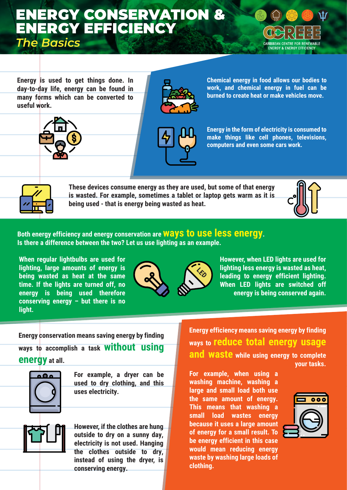### ENERGY CONSERVATION & ENERGY EFFICIENCY

*The Basics*



**Energy is used to get things done. In day-to-day life, energy can be found in many forms which can be converted to useful work.**







**Chemical energy in food allows our bodies to work, and chemical energy in fuel can be burned to create heat or make vehicles move.**

**Energy in the form of electricity is consumed to make things like cell phones, televisions, computers and even some cars work.** 



**These devices consume energy as they are used, but some of that energy is wasted. For example, sometimes a tablet or laptop gets warm as it is being used - that is energy being wasted as heat.**



#### **Both energy efficiency and energy conservation are ways to use less energy. Is there a difference between the two? Let us use lighting as an example.**

**When regular lightbulbs are used for lighting, large amounts of energy is being wasted as heat at the same time. If the lights are turned off, no energy is being used therefore conserving energy – but there is no light.** 



**However, when LED lights are used for lighting less energy is wasted as heat, leading to energy efficient lighting. When LED lights are switched off energy is being conserved again.**

**Energy conservation means saving energy by finding ways to accomplish a task without using energy at all.**



**For example, a dryer can be used to dry clothing, and this uses electricity.**

**However, if the clothes are hung outside to dry on a sunny day, electricity is not used. Hanging the clothes outside to dry, instead of using the dryer, is conserving energy.**

**Energy efficiency means saving energy by finding ways to reduce total energy usage and waste while using energy to complete your tasks.** 

**For example, when using a washing machine, washing a large and small load both use the same amount of energy. This means that washing a small load wastes energy because it uses a large amount of energy for a small result. To be energy efficient in this case would mean reducing energy waste by washing large loads of clothing.** 

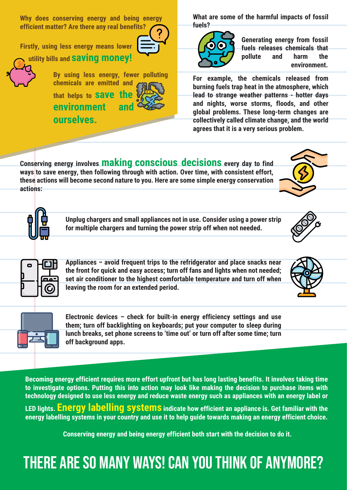**Why does conserving energy and being energy efficient matter? Are there any real benefits?** 

**Firstly, using less energy means lower** 



**utility bills and saving money!**

**By using less energy, fewer polluting chemicals are emitted and that helps to save the environment and ourselves.**



**What are some of the harmful impacts of fossil fuels?** 



**Generating energy from fossil fuels releases chemicals that pollute and harm the environment.** 

**For example, the chemicals released from burning fuels trap heat in the atmosphere, which lead to strange weather patterns - hotter days and nights, worse storms, floods, and other global problems. These long-term changes are collectively called climate change, and the world agrees that it is a very serious problem.**

**Conserving energy involves making conscious decisions every day to find ways** to save energy, then following through with action. Over time, with consistent effort, **these actions will become second nature to you. Here are some simple energy conservation actions:**

> **Unplug chargers and small appliances not in use. Consider using a power strip for multiple chargers and turning the power strip off when not needed.**



**Appliances – avoid frequent trips to the refridgerator and place snacks near the front for quick and easy access; turn off fans and lights when not needed; set air conditioner to the highest comfortable temperature and turn off when leaving the room for an extended period.**





**Electronic devices – check for built-in energy efficiency settings and use them; turn off backlighting on keyboards; put your computer to sleep during lunch breaks, set phone screens to 'time out' or turn off after some time; turn off background apps.** 

**Becoming energy efficient requires more effort upfront but has long lasting benefits. It involves taking time to investigate options. Putting this into action may look like making the decision to purchase items with technology designed to use less energy and reduce waste energy such as appliances with an energy label or LED lights. Energy labelling systems indicate how efficient an appliance is. Get familiar with the energy labelling systems in your country and use it to help guide towards making an energy efficient choice.**

**Conserving energy and being energy efficient both start with the decision to do it.** 

### There are so many ways! Can you think of anymore?